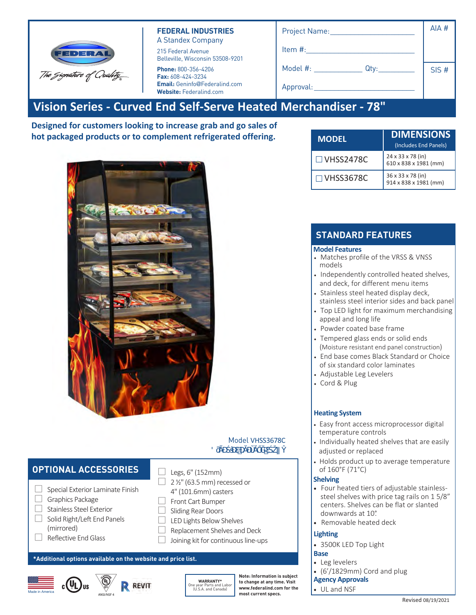| FEDERAL<br>The Gignature of Quality | <b>FEDERAL INDUSTRIES</b><br>A Standex Company<br>215 Federal Avenue<br>Belleville, Wisconsin 53508-9201           | Project Name:<br>Item $#$ :                 | AIA# |  |  |  |  |  |  |
|-------------------------------------|--------------------------------------------------------------------------------------------------------------------|---------------------------------------------|------|--|--|--|--|--|--|
|                                     | Phone: 800-356-4206<br><b>Fax: 608-424-3234</b><br><b>Email:</b> Geninfo@Federalind.com<br>Website: Federalind.com | Model #:<br>Qty:<br>Approval: _____________ | SIS# |  |  |  |  |  |  |
|                                     | Vision Series - Curved End Self-Serve Heated Merchandiser - 78"                                                    |                                             |      |  |  |  |  |  |  |

**Designed for customers looking to increase grab and go sales of hot packaged products or to complement refrigerated offering.**



### Model VHSS3678C  $8$ s a $\lambda$

## **OPTIONAL ACCESSORIES**

0 ÷ O 7 Graphics Package Stainless Steel Exterior Finish Solid Right/Le t End anels (mirrored) Re lective End lass Sliding Rear Doors (Hinged on 24" Cases

LED Lights Below Shelves Front Cart Bumper Recessed or 4" (101.6mm) casters Legs 6" (152mm) Skirt w/Casters or Legs Joining kit for continuous line-ups Replacement Shelves and Deck

#### **\*Additional options available on the website and price list.**





**WARRANTY\*** One year Parts and Labor (U.S.A. and Canada)

**Note: Information is subject to change at any time. Visit www.federalind.com for the most current specs.**

| <b>MODEL</b>     | <b>DIMENSIONS</b><br>(Includes End Panels) |
|------------------|--------------------------------------------|
| $\Box$ VHSS2478C | 24 x 33 x 78 (in)<br>610 x 838 x 1981 (mm) |
| $\Box$ VHSS3678C | 36 x 33 x 78 (in)<br>914 x 838 x 1981 (mm) |

# **STANDARD FEATURES**

### **Model Features**

- Powder coated base frame
- Matches profile of the VRSS & VNSS models
- Independently controlled heated shelves, and deck, for different menu items
- Stainless steel heated display deck
- Stainless steel interior sides and back panel
- Top LED light for maximum merchandising appeal and long life
- Tempered glass end inserts with choice of six standard color laminates on lower millwork panel. Black Standard.
- Adjustable Leg Levelers
- Cord & Plug

### **Heating System**

- Easy front access microprocessor digital temperature controls
- Individually heated shelves that are easily adjusted or replaced
- Holds product up to average temperature of 160°F (71°C)

### **Shelving**

- Four heated tiers of adjustable stainless steel shelves with price tag rails on 1 5/8" centers. Shelves can be flat or slanted downwards at 10°.
- Removable heated deck

### **Lighting**

• 3500K LED Top Light

#### **Agency Approvals**

• UL, C-UL, and NSF4